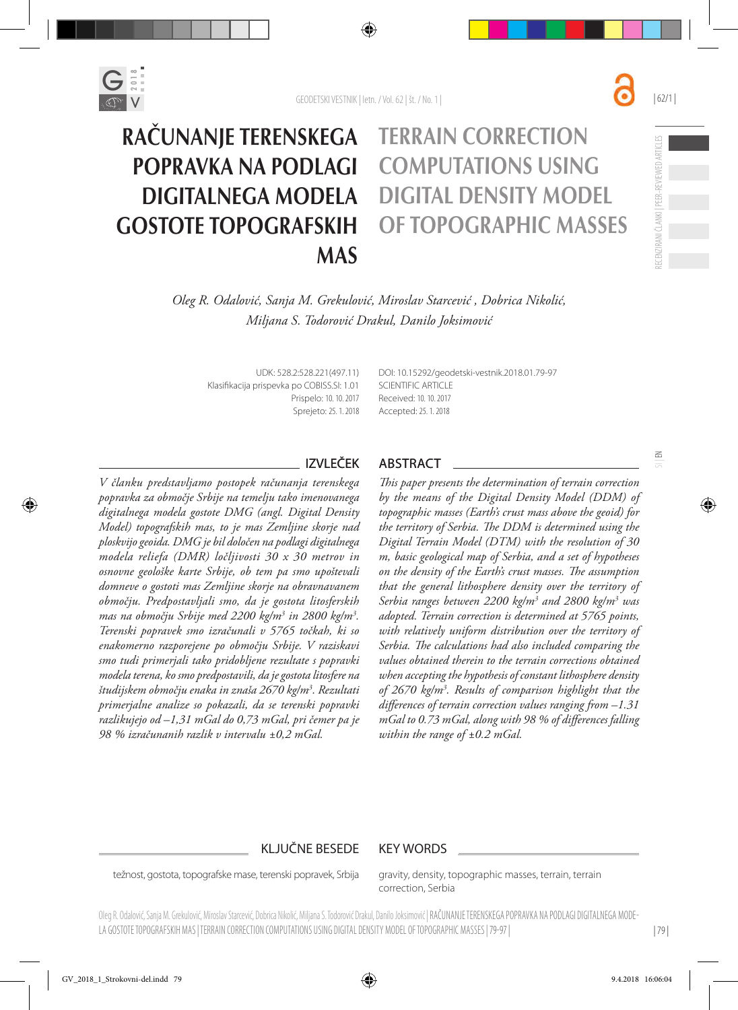

# Računanje terenskega Terrain correction popravka na podlagi computations using digitalnega modela digital density model gostote topografskih of topographic masses **MAS**



 $\leq$ 

*Oleg R. Odalović, Sanja M. Grekulović, Miroslav Starcević , Dobrica Nikolić, Miljana S. Todorović Drakul, Danilo Joksimović*

UDK: 528.2:528.221(497.11) Klasifikacija prispevka po COBISS.SI: 1.01 Prispelo: 10. 10. 2017 Sprejeto: 25. 1. 2018 DOI: [10.15292/geodetski-vestnik.2018.01.7](http://dx.doi.org/10.15292/geodetski-vestnik.2017.03.427-440)9-97 SCIENTIFIC ARTICLE Received: 10. 10. 2017 Accepted: 25. 1. 2018

*V članku predstavljamo postopek računanja terenskega popravka za območje Srbije na temelju tako imenovanega digitalnega modela gostote DMG (angl. Digital Density Model) topografskih mas, to je mas Zemljine skorje nad ploskvijo geoida. DMG je bil določen na podlagi digitalnega modela reliefa (DMR) ločljivosti 30 x 30 metrov in osnovne geološke karte Srbije, ob tem pa smo upoštevali domneve o gostoti mas Zemljine skorje na obravnavanem območju. Predpostavljali smo, da je gostota litosferskih mas na območju Srbije med 2200 kg/m3 in 2800 kg/m3 . Terenski popravek smo izračunali v 5765 točkah, ki so enakomerno razporejene po območju Srbije. V raziskavi smo tudi primerjali tako pridobljene rezultate s popravki modela terena, ko smo predpostavili, da je gostota litosfere na študijskem območju enaka in znaša 2670 kg/m3 . Rezultati primerjalne analize so pokazali, da se terenski popravki razlikujejo od –1,31 mGal do 0,73 mGal, pri čemer pa je 98 % izračunanih razlik v intervalu ±0,2 mGal.*

# IZVLEČEK ABSTRACT

*This paper presents the determination of terrain correction by the means of the Digital Density Model (DDM) of topographic masses (Earth's crust mass above the geoid) for the territory of Serbia. The DDM is determined using the Digital Terrain Model (DTM) with the resolution of 30 m, basic geological map of Serbia, and a set of hypotheses on the density of the Earth's crust masses. The assumption that the general lithosphere density over the territory of Serbia ranges between 2200 kg/m3 and 2800 kg/m3 was adopted. Terrain correction is determined at 5765 points, with relatively uniform distribution over the territory of Serbia. The calculations had also included comparing the values obtained therein to the terrain corrections obtained when accepting the hypothesis of constant lithosphere density of 2670 kg/m3 . Results of comparison highlight that the differences of terrain correction values ranging from –1.31 mGal to 0.73 mGal, along with 98 % of differences falling within the range of ±0.2 mGal.*

# KLJUČNE BESEDE KEY WORDS

težnost, gostota, topografske mase, terenski popravek, Srbija

gravity, density, topographic masses, terrain, terrain correction, Serbia

Oleg R. Odalović, Sanja M. Grekulović, Miroslav Starcević, Dobrica Nikolić, Miljana S. Todorović Drakul, Danilo Joksimović | RAČUNANJE TERENSKEGA POPRAVKA NA PODLAGI DIGITALNEGA MODE-LA GOSTOTE TOPOGRAFSKIH MAS | TERRAIN CORRECTION COMPUTATIONS USING DIGITAL DENSITY MODEL OF TOPOGRAPHIC MASSES | 79-97 |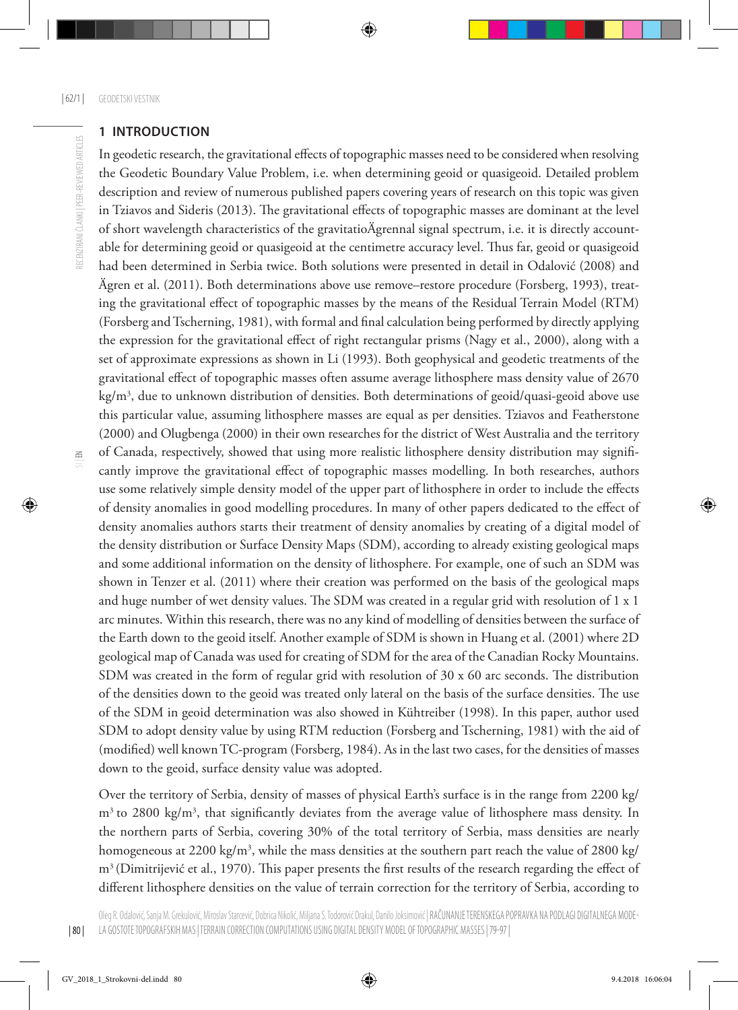## **1 Introduction**

In geodetic research, the gravitational effects of topographic masses need to be considered when resolving the Geodetic Boundary Value Problem, i.e. when determining geoid or quasigeoid. Detailed problem description and review of numerous published papers covering years of research on this topic was given in Tziavos and Sideris (2013). The gravitational effects of topographic masses are dominant at the level of short wavelength characteristics of the gravitatioÄgrennal signal spectrum, i.e. it is directly accountable for determining geoid or quasigeoid at the centimetre accuracy level. Thus far, geoid or quasigeoid had been determined in Serbia twice. Both solutions were presented in detail in Odalović (2008) and Ägren et al. (2011). Both determinations above use remove–restore procedure (Forsberg, 1993), treating the gravitational effect of topographic masses by the means of the Residual Terrain Model (RTM) (Forsberg and Tscherning, 1981), with formal and final calculation being performed by directly applying the expression for the gravitational effect of right rectangular prisms (Nagy et al., 2000), along with a set of approximate expressions as shown in Li (1993). Both geophysical and geodetic treatments of the gravitational effect of topographic masses often assume average lithosphere mass density value of 2670 kg/m3 , due to unknown distribution of densities. Both determinations of geoid/quasi-geoid above use this particular value, assuming lithosphere masses are equal as per densities. Tziavos and Featherstone (2000) and Olugbenga (2000) in their own researches for the district of West Australia and the territory of Canada, respectively, showed that using more realistic lithosphere density distribution may significantly improve the gravitational effect of topographic masses modelling. In both researches, authors use some relatively simple density model of the upper part of lithosphere in order to include the effects of density anomalies in good modelling procedures. In many of other papers dedicated to the effect of density anomalies authors starts their treatment of density anomalies by creating of a digital model of the density distribution or Surface Density Maps (SDM), according to already existing geological maps and some additional information on the density of lithosphere. For example, one of such an SDM was shown in Tenzer et al. (2011) where their creation was performed on the basis of the geological maps and huge number of wet density values. The SDM was created in a regular grid with resolution of 1 x 1 arc minutes. Within this research, there was no any kind of modelling of densities between the surface of the Earth down to the geoid itself. Another example of SDM is shown in Huang et al. (2001) where 2D geological map of Canada was used for creating of SDM for the area of the Canadian Rocky Mountains. SDM was created in the form of regular grid with resolution of 30 x 60 arc seconds. The distribution of the densities down to the geoid was treated only lateral on the basis of the surface densities. The use of the SDM in geoid determination was also showed in Kühtreiber (1998). In this paper, author used SDM to adopt density value by using RTM reduction (Forsberg and Tscherning, 1981) with the aid of (modified) well known TC-program (Forsberg, 1984). As in the last two cases, for the densities of masses down to the geoid, surface density value was adopted.

Over the territory of Serbia, density of masses of physical Earth's surface is in the range from 2200 kg/ m<sup>3</sup> to 2800 kg/m<sup>3</sup>, that significantly deviates from the average value of lithosphere mass density. In the northern parts of Serbia, covering 30% of the total territory of Serbia, mass densities are nearly homogeneous at 2200 kg/m<sup>3</sup>, while the mass densities at the southern part reach the value of 2800 kg/ m3 (Dimitrijević et al., 1970). This paper presents the first results of the research regarding the effect of different lithosphere densities on the value of terrain correction for the territory of Serbia, according to

RECENZIRANI ČLANKI I PEER-REVIEWED ARTICLES RECENZIRANI ČLANKI | PEER-REVIEWED ARTICLES

| 80 |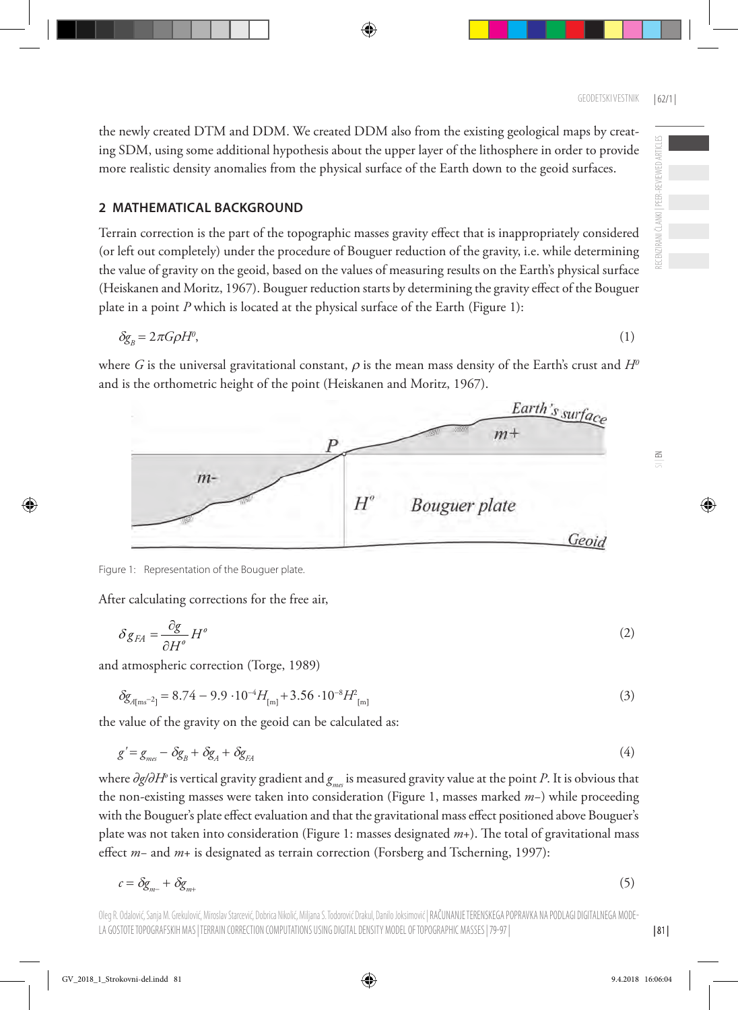ECENZIRANI ČLANKI I PEER-REVIEWED ARTICLES RECENZIRANI ČLANKI | PEER-REVIEWED ARTICLES

 $\leq$ 

the newly created DTM and DDM. We created DDM also from the existing geological maps by creating SDM, using some additional hypothesis about the upper layer of the lithosphere in order to provide more realistic density anomalies from the physical surface of the Earth down to the geoid surfaces.

## **2 Mathematical background**

Terrain correction is the part of the topographic masses gravity effect that is inappropriately considered (or left out completely) under the procedure of Bouguer reduction of the gravity, i.e. while determining the value of gravity on the geoid, based on the values of measuring results on the Earth's physical surface (Heiskanen and Moritz, 1967). Bouguer reduction starts by determining the gravity effect of the Bouguer plate in a point *P* which is located at the physical surface of the Earth (Figure 1):

$$
\delta g_{B} = 2\pi G \rho H^{0},\tag{1}
$$

where *G* is the universal gravitational constant,  $\rho$  is the mean mass density of the Earth's crust and  $H^0$ and is the orthometric height of the point (Heiskanen and Moritz, 1967).



After calculating corrections for the free air,

$$
\delta g_{FA} = \frac{\partial g}{\partial H^{\rho}} H^{\rho} \tag{2}
$$

and atmospheric correction (Torge, 1989)

$$
\delta g_{A[ms^{-2}]} = 8.74 - 9.9 \cdot 10^{-4} H_{[m]} + 3.56 \cdot 10^{-8} H_{[m]}^2 \tag{3}
$$

the value of the gravity on the geoid can be calculated as:

$$
g' = g_{\text{mes}} - \delta g_{\text{B}} + \delta g_{\text{A}} + \delta g_{\text{FA}}
$$
\n<sup>(4)</sup>

where *∂g/∂H<sup>o</sup>* is vertical gravity gradient and *g<sub>me</sub>* is measured gravity value at the point *P*. It is obvious that the non-existing masses were taken into consideration (Figure 1, masses marked *m*−) while proceeding with the Bouguer's plate effect evaluation and that the gravitational mass effect positioned above Bouguer's plate was not taken into consideration (Figure 1: masses designated *m*+). The total of gravitational mass effect *m*− and *m*+ is designated as terrain correction (Forsberg and Tscherning, 1997):

$$
c = \delta g_{m+} + \delta g_{m+} \tag{5}
$$

Oleg R. Odalović, Sanja M. Grekulović, Miroslav Starcević, Dobrica Nikolić, Miljana S. Todorović Drakul, Danilo Joksimović | RAČUNANJE TERENSKEGA POPRAVKA NA PODLAGI DIGITALNEGA MODE-LA GOSTOTE TOPOGRAFSKIH MAS | TERRAIN CORRECTION COMPUTATIONS USING DIGITAL DENSITY MODEL OF TOPOGRAPHIC MASSES | 79-97 |



$$
(5)
$$

| 81 |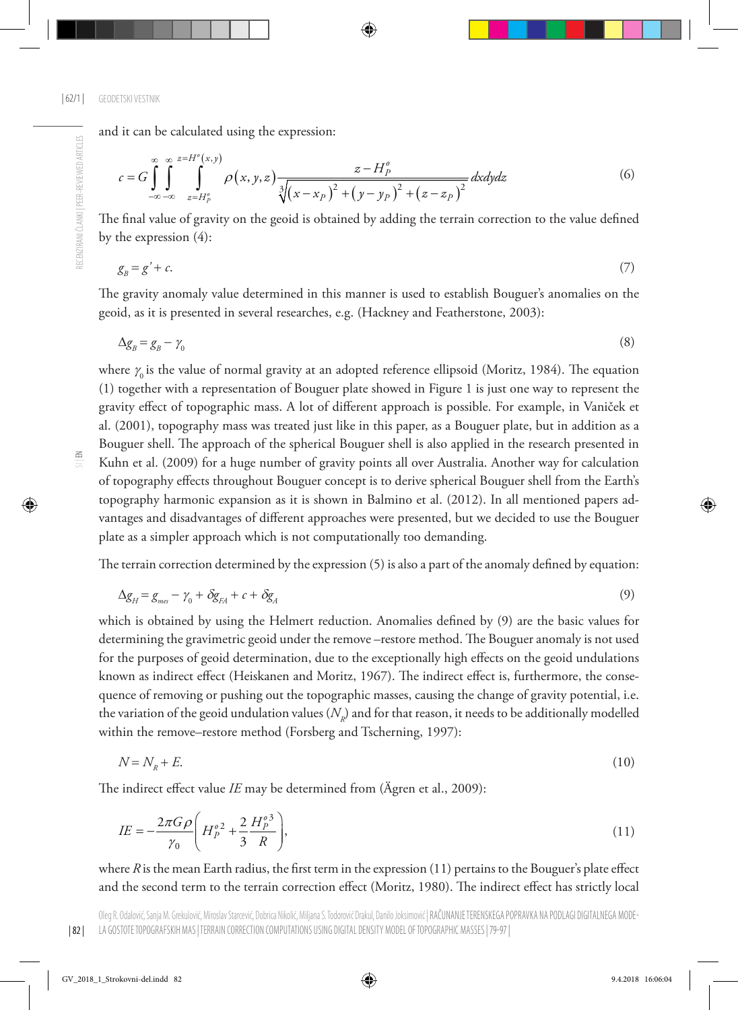and it can be calculated using the expression:

$$
c = G \int_{-\infty}^{\infty} \int_{-\infty}^{\infty} \int_{z=H_{p}^{o}}^{z=H^{o}(x,y)} \rho(x,y,z) \frac{z-H_{p}^{o}}{\sqrt[3]{(x-x_{p})^{2}+(y-y_{p})^{2}+(z-z_{p})^{2}}} dxdydz
$$
(6)

The final value of gravity on the geoid is obtained by adding the terrain correction to the value defined by the expression (4):

$$
g_{B} = g' + c. \tag{7}
$$

The gravity anomaly value determined in this manner is used to establish Bouguer's anomalies on the geoid, as it is presented in several researches, e.g. (Hackney and Featherstone, 2003):

$$
\Delta g_B = g_B - \gamma_0 \tag{8}
$$

 $\leq$ 

RECENZIRANI ČLANKI | PEER-REVIEWED ARTICLES

RECENZIRANI ČLANKI | PEER-REVIEWED ARTICLES

where  $\gamma_0$  is the value of normal gravity at an adopted reference ellipsoid (Moritz, 1984). The equation (1) together with a representation of Bouguer plate showed in Figure 1 is just one way to represent the gravity effect of topographic mass. A lot of different approach is possible. For example, in Vaniček et al. (2001), topography mass was treated just like in this paper, as a Bouguer plate, but in addition as a Bouguer shell. The approach of the spherical Bouguer shell is also applied in the research presented in Kuhn et al. (2009) for a huge number of gravity points all over Australia. Another way for calculation of topography effects throughout Bouguer concept is to derive spherical Bouguer shell from the Earth's topography harmonic expansion as it is shown in Balmino et al. (2012). In all mentioned papers advantages and disadvantages of different approaches were presented, but we decided to use the Bouguer plate as a simpler approach which is not computationally too demanding.

The terrain correction determined by the expression (5) is also a part of the anomaly defined by equation:

$$
\Delta g_H = g_{\text{max}} - \gamma_0 + \delta g_H + c + \delta g_A \tag{9}
$$

which is obtained by using the Helmert reduction. Anomalies defined by (9) are the basic values for determining the gravimetric geoid under the remove –restore method. The Bouguer anomaly is not used for the purposes of geoid determination, due to the exceptionally high effects on the geoid undulations known as indirect effect (Heiskanen and Moritz, 1967). The indirect effect is, furthermore, the consequence of removing or pushing out the topographic masses, causing the change of gravity potential, i.e. the variation of the geoid undulation values  $(N_p)$  and for that reason, it needs to be additionally modelled within the remove–restore method (Forsberg and Tscherning, 1997):

$$
N = N_R + E.\tag{10}
$$

The indirect effect value *IE* may be determined from (Ägren et al., 2009):

$$
IE = -\frac{2\pi G\rho}{\gamma_0} \left( H_p^{\rho 2} + \frac{2}{3} \frac{H_p^{\rho 3}}{R} \right),\tag{11}
$$

where *R* is the mean Earth radius, the first term in the expression (11) pertains to the Bouguer's plate effect and the second term to the terrain correction effect (Moritz, 1980). The indirect effect has strictly local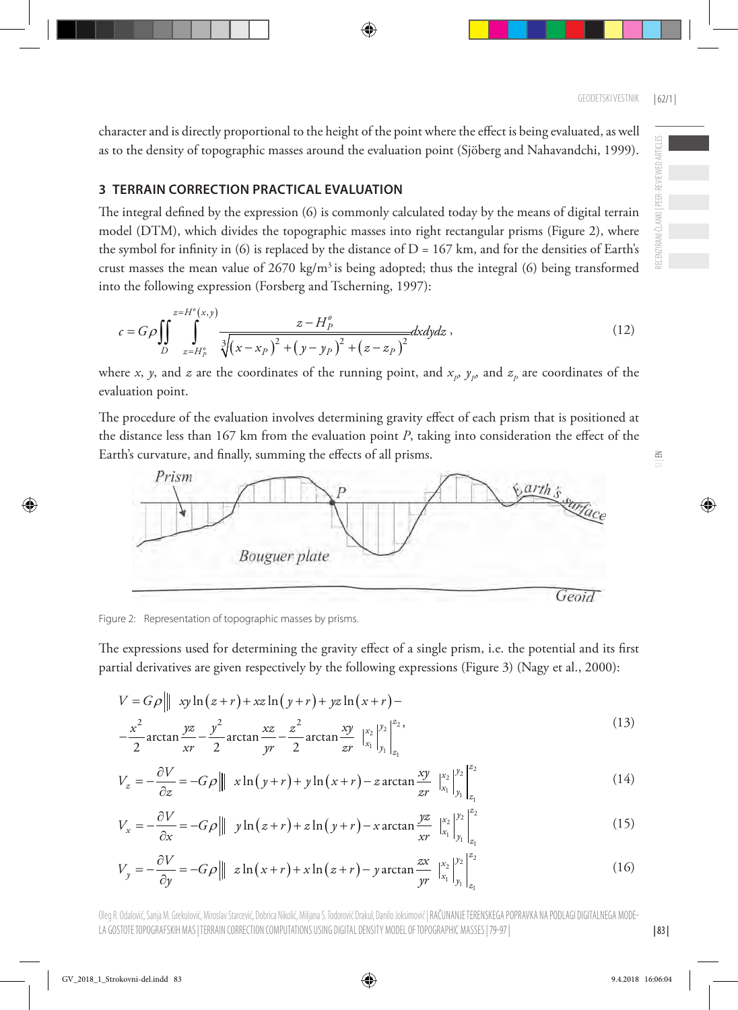character and is directly proportional to the height of the point where the effect is being evaluated, as well as to the density of topographic masses around the evaluation point (Sjöberg and Nahavandchi, 1999).

# **3 TERRAIN CORRECTION PRACTICAL EVALUATION**

The integral defined by the expression (6) is commonly calculated today by the means of digital terrain model (DTM), which divides the topographic masses into right rectangular prisms (Figure 2), where the symbol for infinity in (6) is replaced by the distance of  $D = 167$  km, and for the densities of Earth's crust masses the mean value of  $2670 \text{ kg/m}^3$  is being adopted; thus the integral (6) being transformed into the following expression (Forsberg and Tscherning, 1997):

$$
c = G\rho \iint_{D} \int_{z=H_{p}^{a}}^{z=H^{o}(x,y)} \frac{z-H_{p}^{a}}{\sqrt[3]{(x-x_{p})^{2}+(y-y_{p})^{2}+(z-z_{p})^{2}}}dxdydz ,
$$
 (12)

where *x*, *y*, and *z* are the coordinates of the running point, and  $x_p$ ,  $y_p$ , and  $z_p$  are coordinates of the evaluation point.

The procedure of the evaluation involves determining gravity effect of each prism that is positioned at the distance less than 167 km from the evaluation point *P*, taking into consideration the effect of the Earth's curvature, and finally, summing the effects of all prisms.



Figure 2: Representation of topographic masses by prisms.

The expressions used for determining the gravity effect of a single prism, i.e. the potential and its first partial derivatives are given respectively by the following expressions (Figure 3) (Nagy et al., 2000):

$$
V = G\rho \parallel \, xy \ln(z+r) + xz \ln(y+r) + yz \ln(x+r) -
$$
  

$$
-\frac{x^2}{2} \arctan \frac{yz}{xr} - \frac{y^2}{2} \arctan \frac{xz}{yr} - \frac{z^2}{2} \arctan \frac{xy}{xr} \mid_{x_1}^{x_2} \mid_{y_1}^{y_2} \mid_{z_1}^{z_2},
$$
 (13)

$$
V_z = -\frac{\partial V}{\partial z} = -G\rho \left\| \int x \ln(y+r) + y \ln(x+r) - z \arctan \frac{xy}{zr} \Big|_{x_1}^{x_2} \Big|_{y_1}^{y_2} \Big|_{z_1}^{z_2}
$$
 (14)

$$
V_x = -\frac{\partial V}{\partial x} = -G\rho \left\| y\ln(z+r) + z\ln(y+r) - x\arctan\frac{yz}{xr} \Big|_{x_1}^{x_2} \Big|_{y_1}^{y_2} \Big|_{z_1}^{z_2}
$$
 (15)

$$
V_y = -\frac{\partial V}{\partial y} = -G\rho \left\| \int z \ln(x+r) + x \ln(z+r) - y \arctan \frac{zx}{yr} \Big|_{x_1}^{x_2} \Big|_{y_1}^{y_2} \Big|_{z_1}^{z_2} \right\|_{(16)}
$$

Oleg R. Odalović, Sanja M. Grekulović, Miroslav Starcević, Dobrica Nikolić, Miljana S. Todorović Drakul, Danilo Joksimović | RAČUNANJE TERENSKEGA POPRAVKA NA PODLAGI DIGITALNEGA MODE-LA GOSTOTE TOPOGRAFSKIH MAS | TERRAIN CORRECTION COMPUTATIONS USING DIGITAL DENSITY MODEL OF TOPOGRAPHIC MASSES | 79-97 |

RECENZIRANI ČLANKI | PEER-REVIEWED ARTICLES

RECENZIRANI ČLANKI | PEER-REVIEWED ARTICLES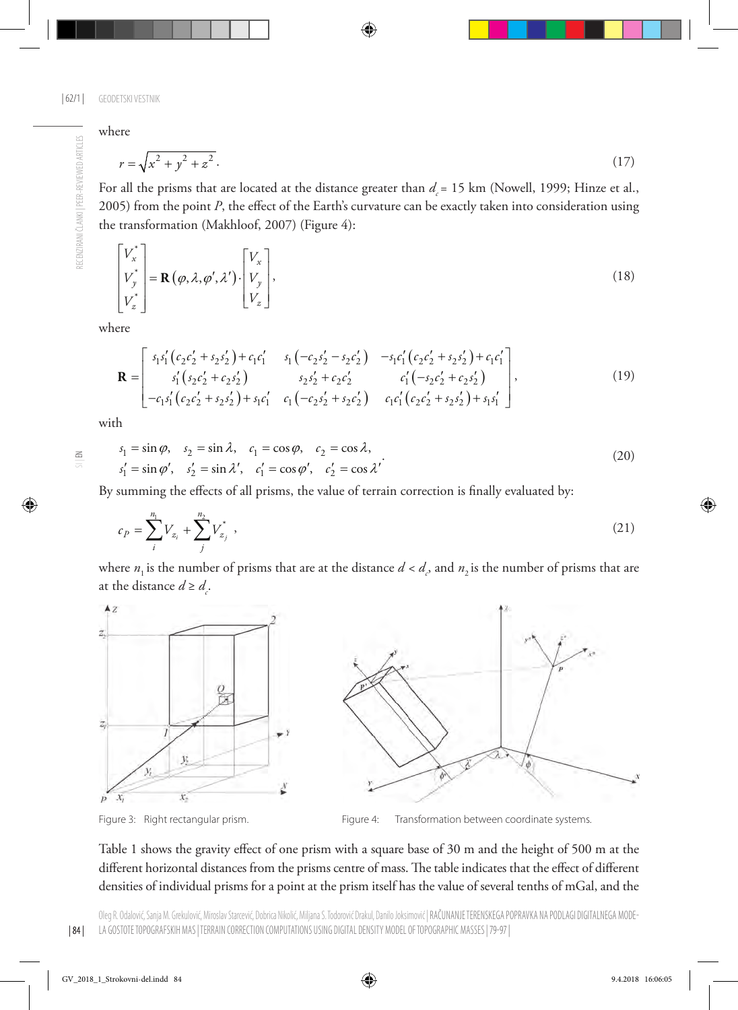where

RECENZIRANI ČLANKI | PEER-REVIEWED ARTICLES

RECENZIRANI ČLANKI | PEER-REVIEWED ARTICLES

$$
r = \sqrt{x^2 + y^2 + z^2}.
$$
 (17)

For all the prisms that are located at the distance greater than  $d = 15$  km (Nowell, 1999; Hinze et al., 2005) from the point *P*, the effect of the Earth's curvature can be exactly taken into consideration using the transformation (Makhloof, 2007) (Figure 4):

$$
\begin{bmatrix} V_x^* \\ V_y^* \\ V_z^* \end{bmatrix} = \mathbf{R}(\varphi, \lambda, \varphi', \lambda') \cdot \begin{bmatrix} V_x \\ V_y \\ V_z \end{bmatrix},
$$
\n(18)

where

$$
\mathbf{R} = \begin{bmatrix} s_1 s_1' (c_2 c_2' + s_2 s_2') + c_1 c_1' & s_1 (-c_2 s_2' - s_2 c_2') & -s_1 c_1' (c_2 c_2' + s_2 s_2') + c_1 c_1' \\ s_1' (s_2 c_2' + c_2 s_2') & s_2 s_2' + c_2 c_2' & c_1' (-s_2 c_2' + c_2 s_2') \\ -c_1 s_1' (c_2 c_2' + s_2 s_2') + s_1 c_1' & c_1 (-c_2 s_2' + s_2 c_2') & c_1 c_1' (c_2 c_2' + s_2 s_2') + s_1 s_1' \end{bmatrix},
$$
\n(19)

with

 $\leq$ 

| 84 |

$$
s_1 = \sin \varphi, \quad s_2 = \sin \lambda, \quad c_1 = \cos \varphi, \quad c_2 = \cos \lambda,
$$
  
\n
$$
s_1' = \sin \varphi', \quad s_2' = \sin \lambda', \quad c_1' = \cos \varphi', \quad c_2' = \cos \lambda'
$$
 (20)

By summing the effects of all prisms, the value of terrain correction is finally evaluated by:

$$
c_P = \sum_{i}^{n_1} V_{z_i} + \sum_{j}^{n_2} V_{z_j}^* \tag{21}
$$

where  $n_1$  is the number of prisms that are at the distance  $d < d_c$ , and  $n_2$  is the number of prisms that are at the distance  $d \geq d_c$ .



Figure 3: Right rectangular prism. Figure 4: Transformation between coordinate systems.

Table 1 shows the gravity effect of one prism with a square base of 30 m and the height of 500 m at the different horizontal distances from the prisms centre of mass. The table indicates that the effect of different densities of individual prisms for a point at the prism itself has the value of several tenths of mGal, and the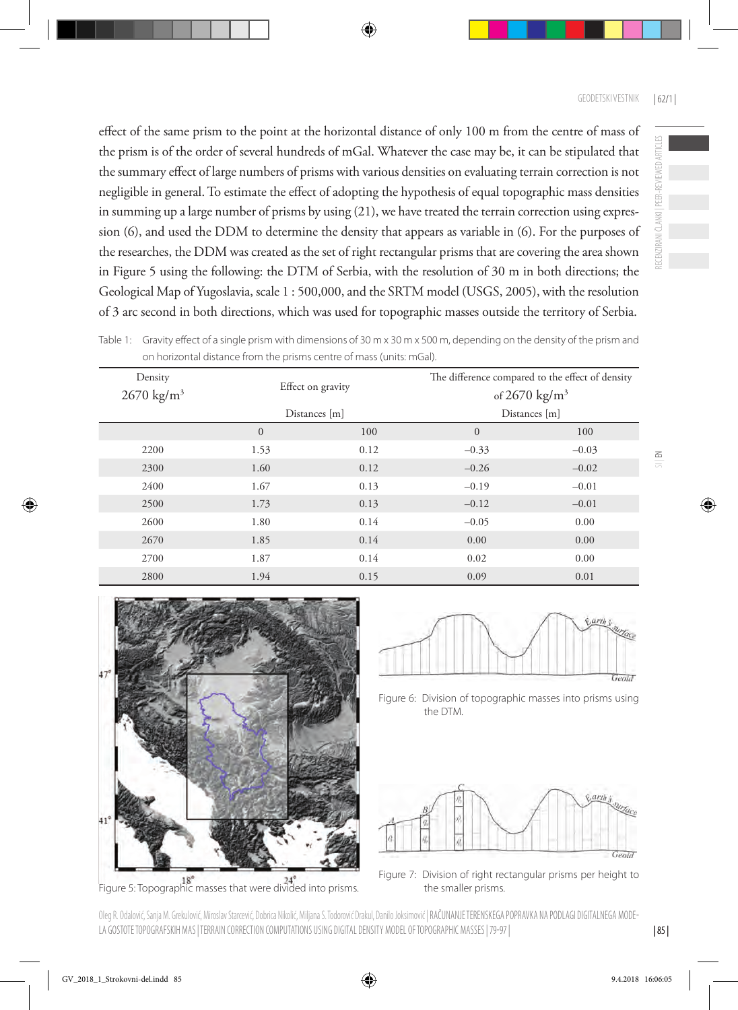effect of the same prism to the point at the horizontal distance of only 100 m from the centre of mass of the prism is of the order of several hundreds of mGal. Whatever the case may be, it can be stipulated that the summary effect of large numbers of prisms with various densities on evaluating terrain correction is not negligible in general. To estimate the effect of adopting the hypothesis of equal topographic mass densities in summing up a large number of prisms by using (21), we have treated the terrain correction using expression (6), and used the DDM to determine the density that appears as variable in (6). For the purposes of the researches, the DDM was created as the set of right rectangular prisms that are covering the area shown in Figure 5 using the following: the DTM of Serbia, with the resolution of 30 m in both directions; the Geological Map of Yugoslavia, scale 1 : 500,000, and the SRTM model (USGS, 2005), with the resolution of 3 arc second in both directions, which was used for topographic masses outside the territory of Serbia.

| Density<br>$2670 \text{ kg/m}^3$ | Effect on gravity |               | The difference compared to the effect of density<br>of $2670 \text{ kg/m}^3$ |               |  |
|----------------------------------|-------------------|---------------|------------------------------------------------------------------------------|---------------|--|
|                                  |                   | Distances [m] |                                                                              | Distances [m] |  |
|                                  | $\mathbf{0}$      | 100           | $\mathbf{0}$                                                                 | 100           |  |
| 2200                             | 1.53              | 0.12          | $-0.33$                                                                      | $-0.03$       |  |
| 2300                             | 1.60              | 0.12          | $-0.26$                                                                      | $-0.02$       |  |
| 2400                             | 1.67              | 0.13          | $-0.19$                                                                      | $-0.01$       |  |
| 2500                             | 1.73              | 0.13          | $-0.12$                                                                      | $-0.01$       |  |
| 2600                             | 1.80              | 0.14          | $-0.05$                                                                      | 0.00          |  |
| 2670                             | 1.85              | 0.14          | 0.00                                                                         | 0.00          |  |
| 2700                             | 1.87              | 0.14          | 0.02                                                                         | 0.00          |  |
| 2800                             | 1.94              | 0.15          | 0.09                                                                         | 0.01          |  |





Figure 5: Topographic masses that were divided into prisms. the smaller prisms.



Figure 6: Division of topographic masses into prisms using the DTM.



Figure 7: Division of right rectangular prisms per height to

Oleg R. Odalović, Sanja M. Grekulović, Miroslav Starcević, Dobrica Nikolić, Miljana S. Todorović Drakul, Danilo Joksimović | RAČUNANJE TERENSKEGA POPRAVKA NA PODLAGI DIGITALNEGA MODE-LA GOSTOTE TOPOGRAFSKIH MAS | TERRAIN CORRECTION COMPUTATIONS USING DIGITAL DENSITY MODEL OF TOPOGRAPHIC MASSES | 79-97 |

RECENZIRANI ČLANKI | PEER-REVIEWED ARTICLES

RECENZIRANI ČLANKI | PEER-REVIEWED ARTICLES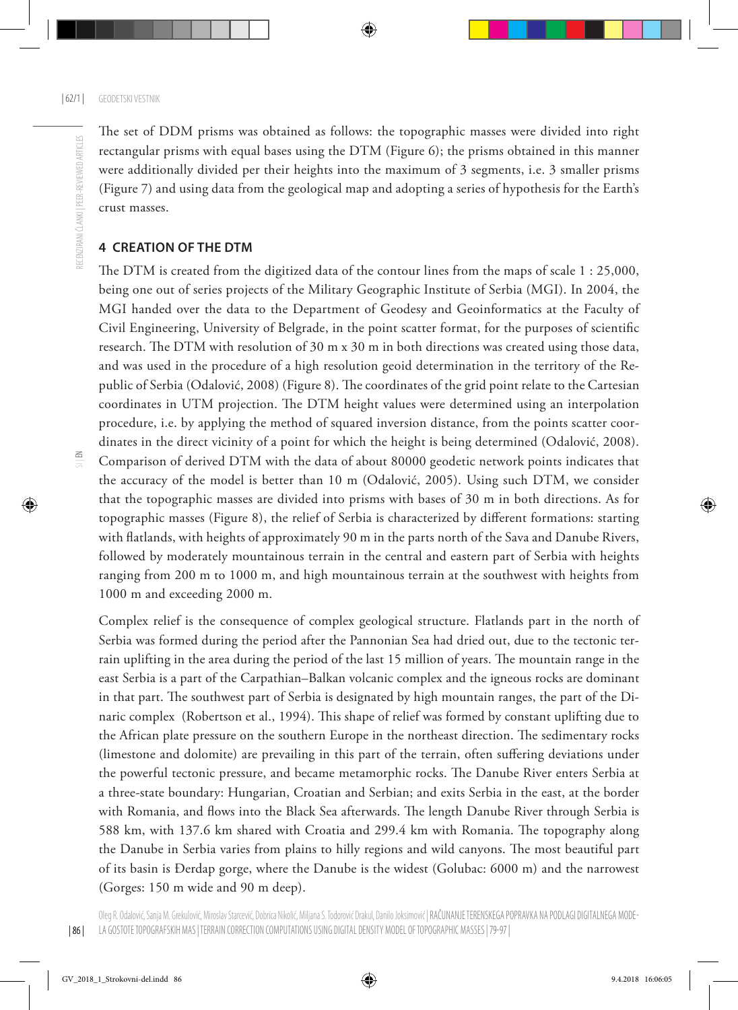The set of DDM prisms was obtained as follows: the topographic masses were divided into right rectangular prisms with equal bases using the DTM (Figure 6); the prisms obtained in this manner were additionally divided per their heights into the maximum of 3 segments, i.e. 3 smaller prisms (Figure 7) and using data from the geological map and adopting a series of hypothesis for the Earth's crust masses.

# **4 Creation of the DTM**

The DTM is created from the digitized data of the contour lines from the maps of scale 1 : 25,000, being one out of series projects of the Military Geographic Institute of Serbia (MGI). In 2004, the MGI handed over the data to the Department of Geodesy and Geoinformatics at the Faculty of Civil Engineering, University of Belgrade, in the point scatter format, for the purposes of scientific research. The DTM with resolution of 30 m x 30 m in both directions was created using those data, and was used in the procedure of a high resolution geoid determination in the territory of the Republic of Serbia (Odalović, 2008) (Figure 8). The coordinates of the grid point relate to the Cartesian coordinates in UTM projection. The DTM height values were determined using an interpolation procedure, i.e. by applying the method of squared inversion distance, from the points scatter coordinates in the direct vicinity of a point for which the height is being determined (Odalović, 2008). Comparison of derived DTM with the data of about 80000 geodetic network points indicates that the accuracy of the model is better than 10 m (Odalović, 2005). Using such DTM, we consider that the topographic masses are divided into prisms with bases of 30 m in both directions. As for topographic masses (Figure 8), the relief of Serbia is characterized by different formations: starting with flatlands, with heights of approximately 90 m in the parts north of the Sava and Danube Rivers, followed by moderately mountainous terrain in the central and eastern part of Serbia with heights ranging from 200 m to 1000 m, and high mountainous terrain at the southwest with heights from 1000 m and exceeding 2000 m.

Complex relief is the consequence of complex geological structure. Flatlands part in the north of Serbia was formed during the period after the Pannonian Sea had dried out, due to the tectonic terrain uplifting in the area during the period of the last 15 million of years. The mountain range in the east Serbia is a part of the Carpathian–Balkan volcanic complex and the igneous rocks are dominant in that part. The southwest part of Serbia is designated by high mountain ranges, the part of the Dinaric complex [\(Robertson](http://www.sciencedirect.com/science/article/pii/0040195194902054) et al., 1994). This shape of relief was formed by constant uplifting due to the African plate pressure on the southern Europe in the northeast direction. The sedimentary rocks (limestone and dolomite) are prevailing in this part of the terrain, often suffering deviations under the powerful tectonic pressure, and became metamorphic rocks. The Danube River enters Serbia at a three-state boundary: Hungarian, Croatian and Serbian; and exits Serbia in the east, at the border with Romania, and flows into the Black Sea afterwards. The length Danube River through Serbia is 588 km, with 137.6 km shared with Croatia and 299.4 km with Romania. The topography along the Danube in Serbia varies from plains to hilly regions and wild canyons. The most beautiful part of its basin is Đerdap gorge, where the Danube is the widest (Golubac: 6000 m) and the narrowest (Gorges: 150 m wide and 90 m deep).

| 86 |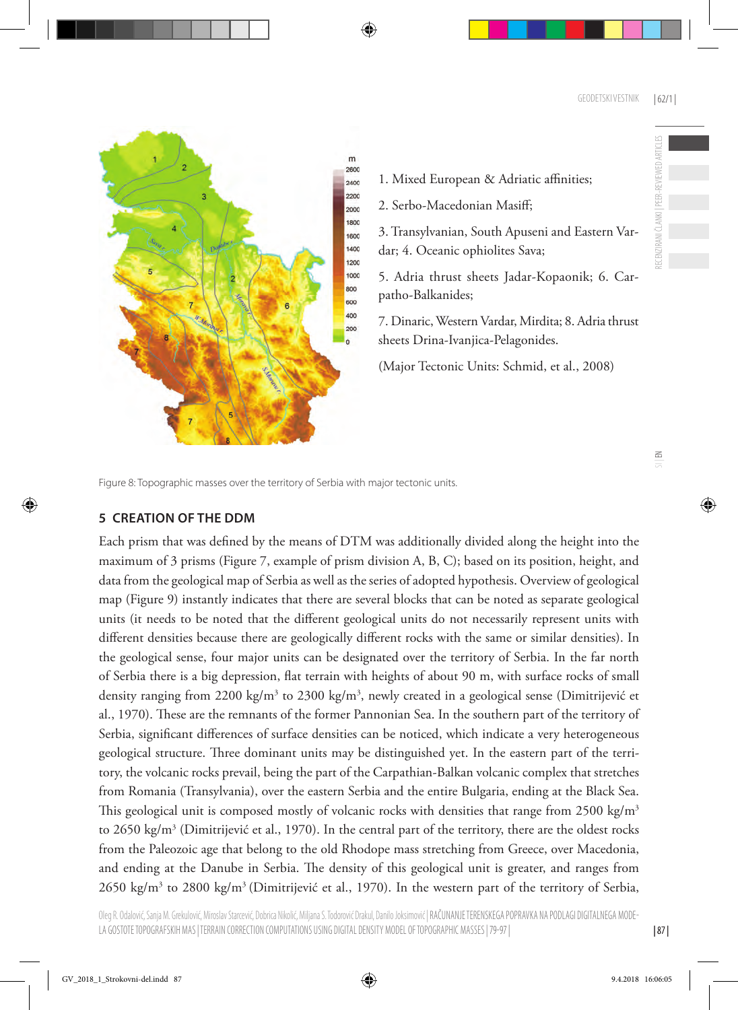$\leq$ 



1. Mixed European & Adriatic affinities;

2. Serbo-Macedonian Masiff;

3. Transylvanian, South Apuseni and Eastern Vardar; 4. Oceanic ophiolites Sava;

5. Adria thrust sheets Jadar-Kopaonik; 6. Carpatho-Balkanides;

7. Dinaric, Western Vardar, Mirdita; 8. Adria thrust sheets Drina-Ivanjica-Pelagonides.

(Major Tectonic Units: Schmid, et al., 2008)

Figure 8: Topographic masses over the territory of Serbia with major tectonic units.

# **5 Creation of the DDM**

Each prism that was defined by the means of DTM was additionally divided along the height into the maximum of 3 prisms (Figure 7, example of prism division A, B, C); based on its position, height, and data from the geological map of Serbia as well as the series of adopted hypothesis. Overview of geological map (Figure 9) instantly indicates that there are several blocks that can be noted as separate geological units (it needs to be noted that the different geological units do not necessarily represent units with different densities because there are geologically different rocks with the same or similar densities). In the geological sense, four major units can be designated over the territory of Serbia. In the far north of Serbia there is a big depression, flat terrain with heights of about 90 m, with surface rocks of small density ranging from 2200 kg/m<sup>3</sup> to 2300 kg/m<sup>3</sup>, newly created in a geological sense (Dimitrijević et al., 1970). These are the remnants of the former Pannonian Sea. In the southern part of the territory of Serbia, significant differences of surface densities can be noticed, which indicate a very heterogeneous geological structure. Three dominant units may be distinguished yet. In the eastern part of the territory, the volcanic rocks prevail, being the part of the Carpathian-Balkan volcanic complex that stretches from Romania (Transylvania), over the eastern Serbia and the entire Bulgaria, ending at the Black Sea. This geological unit is composed mostly of volcanic rocks with densities that range from  $2500 \text{ kg/m}^3$ to 2650 kg/m<sup>3</sup> (Dimitrijević et al., 1970). In the central part of the territory, there are the oldest rocks from the Paleozoic age that belong to the old Rhodope mass stretching from Greece, over Macedonia, and ending at the Danube in Serbia. The density of this geological unit is greater, and ranges from 2650 kg/m3 to 2800 kg/m3 (Dimitrijević et al., 1970). In the western part of the territory of Serbia,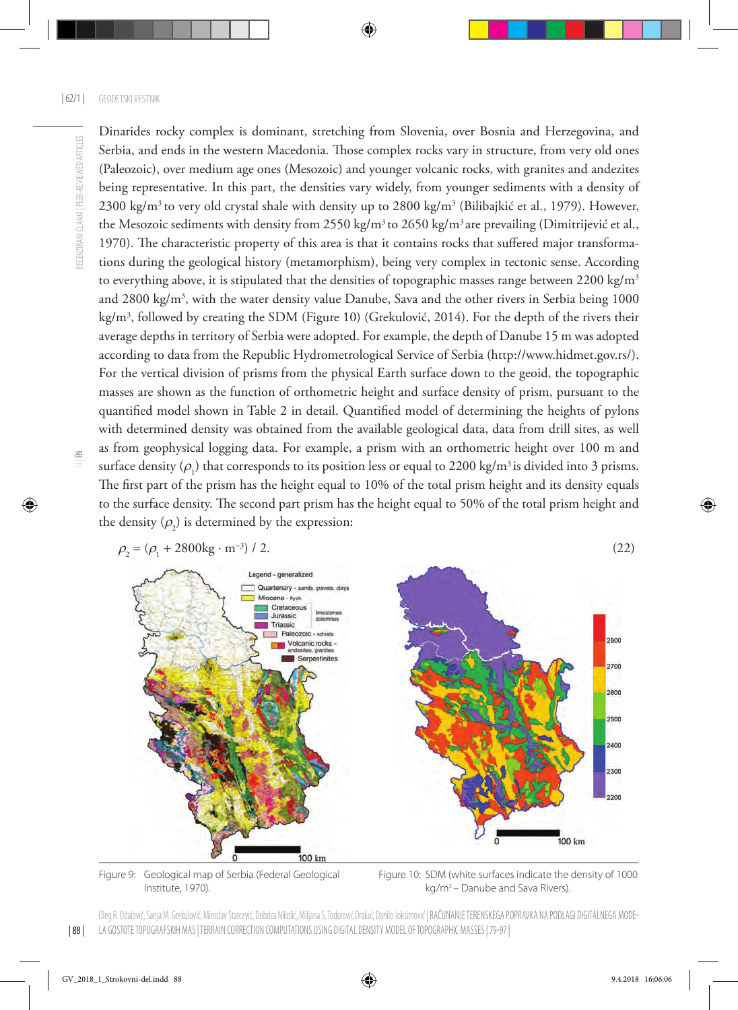Dinarides rocky complex is dominant, stretching from Slovenia, over Bosnia and Herzegovina, and Serbia, and ends in the western Macedonia. Those complex rocks vary in structure, from very old ones (Paleozoic), over medium age ones (Mesozoic) and younger volcanic rocks, with granites and andezites being representative. In this part, the densities vary widely, from younger sediments with a density of 2300 kg/m<sup>3</sup> to very old crystal shale with density up to 2800 kg/m<sup>3</sup> (Bilibajkić et al., 1979). However, the Mesozoic sediments with density from 2550 kg/m<sup>3</sup> to 2650 kg/m<sup>3</sup> are prevailing (Dimitrijević et al., 1970). The characteristic property of this area is that it contains rocks that suffered major transformations during the geological history (metamorphism), being very complex in tectonic sense. According to everything above, it is stipulated that the densities of topographic masses range between  $2200 \text{ kg/m}^3$ and 2800 kg/m<sup>3</sup>, with the water density value Danube, Sava and the other rivers in Serbia being 1000 kg/m3 , followed by creating the SDM (Figure 10) (Grekulović, 2014). For the depth of the rivers their average depths in territory of Serbia were adopted. For example, the depth of Danube 15 m was adopted according to data from the Republic Hydrometrological Service of Serbia (http://www.hidmet.gov.rs/). For the vertical division of prisms from the physical Earth surface down to the geoid, the topographic masses are shown as the function of orthometric height and surface density of prism, pursuant to the quantified model shown in Table 2 in detail. Quantified model of determining the heights of pylons with determined density was obtained from the available geological data, data from drill sites, as well as from geophysical logging data. For example, a prism with an orthometric height over 100 m and surface density  $(\rho_1)$  that corresponds to its position less or equal to 2200 kg/m<sup>3</sup> is divided into 3 prisms. The first part of the prism has the height equal to 10% of the total prism height and its density equals to the surface density. The second part prism has the height equal to 50% of the total prism height and the density  $(\rho_2)$  is determined by the expression:



Institute, 1970). Kg/m<sup>3</sup> – Danube and Sava Rivers).

Figure 9: Geological map of Serbia (Federal Geological Figure 10: SDM (white surfaces indicate the density of 1000

Oleg R. Odalović, Sanja M. Grekulović, Miroslav Starcević, Dobrica Nikolić, Miljana S. Todorović Drakul, Danilo Joksimović | RAČUNANJE TERENSKEGA POPRAVKA NA PODLAGI DIGITALNEGA MODE-LA GOSTOTE TOPOGRAFSKIH MAS | TERRAIN CORRECTION COMPUTATIONS USING DIGITAL DENSITY MODEL OF TOPOGRAPHIC MASSES | 79-97 |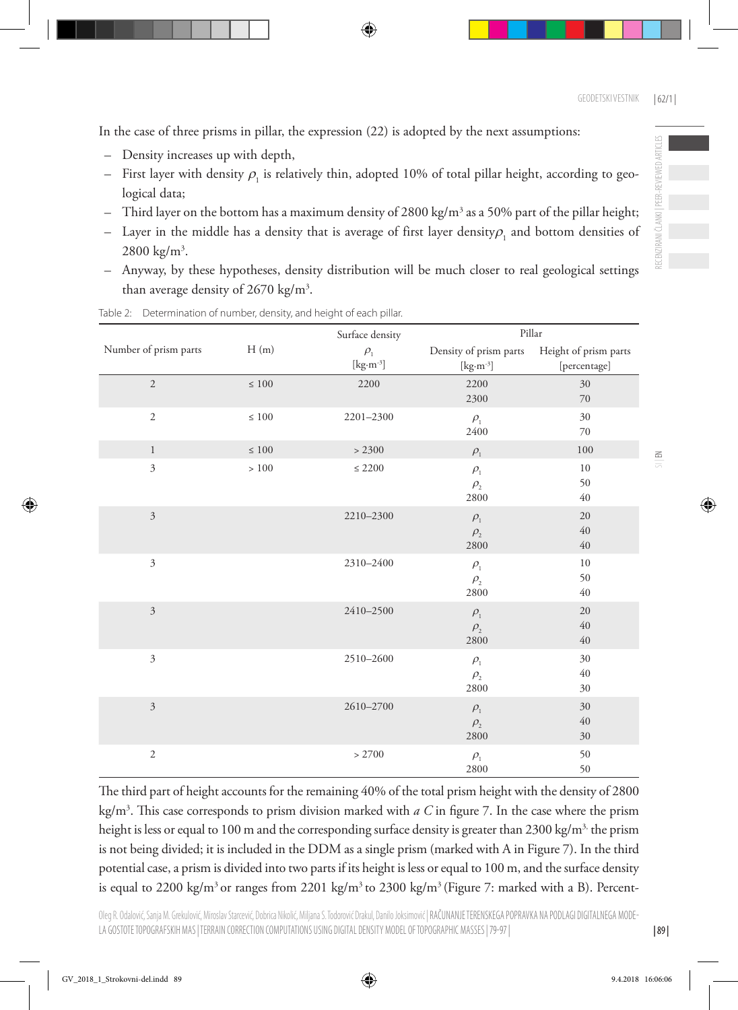In the case of three prisms in pillar, the expression (22) is adopted by the next assumptions:

- Density increases up with depth,
- $-$  First layer with density  $\rho_{_{1}}$  is relatively thin, adopted 10% of total pillar height, according to geological data;
- $-$  Third layer on the bottom has a maximum density of 2800 kg/m $^3$  as a 50% part of the pillar height;
- $-$  Layer in the middle has a density that is average of first layer density $\rho_{_1}$  and bottom densities of  $2800 \text{ kg/m}^3$ .
- Anyway, by these hypotheses, density distribution will be much closer to real geological settings than average density of  $2670 \text{ kg/m}^3$ .

|                       | H(m)       | Surface density                                                    | Pillar                                                                                         |                |
|-----------------------|------------|--------------------------------------------------------------------|------------------------------------------------------------------------------------------------|----------------|
| Number of prism parts |            | $\rho_{\text{\tiny{l}}}$<br>$[\text{kg}\cdot\text{m}^{\text{-3}}]$ | Density of prism parts Height of prism parts<br>$[\mathrm{kg}\!\cdot\!\mathrm{m}^{\text{-3}}]$ | [percentage]   |
| $\overline{c}$        | $\leq 100$ | 2200                                                               | 2200<br>2300                                                                                   | 30<br>$70\,$   |
| $\overline{2}$        | $\leq 100$ | 2201-2300                                                          | $\rho_{\text{\tiny{l}}}$<br>2400                                                               | 30<br>70       |
| $\mathbf{1}$          | $\leq 100$ | > 2300                                                             | $\rho_{\text{\tiny{l}}}$                                                                       | 100            |
| $\mathfrak{Z}$        | $>100\,$   | $\leq 2200$                                                        | $\rho_{\text{\tiny{l}}}$<br>$\rho _{_{2}}$<br>2800                                             | 10<br>50<br>40 |
| $\overline{3}$        |            | $2210 - 2300$                                                      | $\rho_{\text{\tiny{l}}}$<br>$\rho _{_{2}}$<br>2800                                             | 20<br>40<br>40 |
| $\mathfrak{Z}$        |            | 2310-2400                                                          | $\rho_{\text{\tiny{l}}}$<br>$\rho _{_{2}}$<br>2800                                             | 10<br>50<br>40 |
| $\mathfrak{Z}$        |            | 2410-2500                                                          | $\rho_{\text{\tiny{l}}}$<br>$\rho _{_{2}}$<br>2800                                             | 20<br>40<br>40 |
| $\mathfrak{Z}$        |            | 2510-2600                                                          | $\rho_{\text{\tiny{l}}}$<br>$\rho _{_{2}}$<br>2800                                             | 30<br>40<br>30 |
| $\mathfrak{Z}$        |            | 2610-2700                                                          | $\rho_{\text{\tiny{l}}}$<br>$\rho _{_{2}}$<br>2800                                             | 30<br>40<br>30 |
| $\sqrt{2}$            |            | > 2700                                                             | $\rho_{\text{\tiny{l}}}$<br>2800                                                               | 50<br>50       |

Table 2: Determination of number, density, and height of each pillar.

The third part of height accounts for the remaining 40% of the total prism height with the density of 2800 kg/m3 . This case corresponds to prism division marked with *a C* in figure 7. In the case where the prism height is less or equal to 100 m and the corresponding surface density is greater than 2300 kg/m<sup>3,</sup> the prism is not being divided; it is included in the DDM as a single prism (marked with A in Figure 7). In the third potential case, a prism is divided into two parts if its height is less or equal to 100 m, and the surface density is equal to 2200 kg/m<sup>3</sup> or ranges from 2201 kg/m<sup>3</sup> to 2300 kg/m<sup>3</sup> (Figure 7: marked with a B). Percent $\Xi$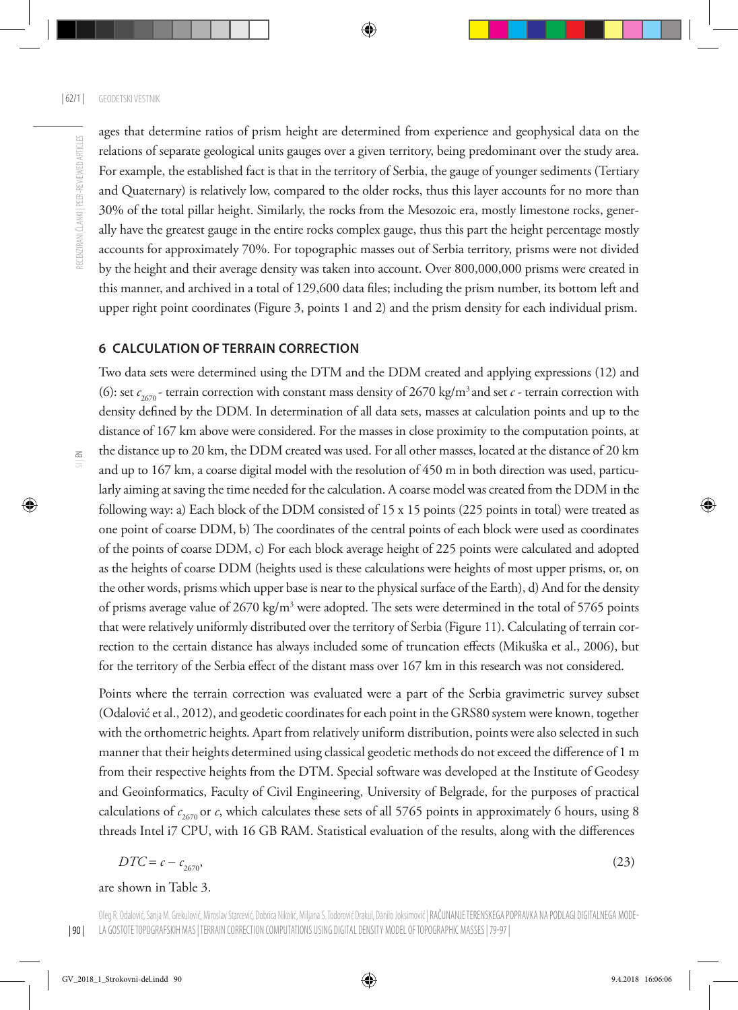ages that determine ratios of prism height are determined from experience and geophysical data on the relations of separate geological units gauges over a given territory, being predominant over the study area. For example, the established fact is that in the territory of Serbia, the gauge of younger sediments (Tertiary and Quaternary) is relatively low, compared to the older rocks, thus this layer accounts for no more than 30% of the total pillar height. Similarly, the rocks from the Mesozoic era, mostly limestone rocks, generally have the greatest gauge in the entire rocks complex gauge, thus this part the height percentage mostly accounts for approximately 70%. For topographic masses out of Serbia territory, prisms were not divided by the height and their average density was taken into account. Over 800,000,000 prisms were created in this manner, and archived in a total of 129,600 data files; including the prism number, its bottom left and upper right point coordinates (Figure 3, points 1 and 2) and the prism density for each individual prism.

#### **6 Calculation of terrain correction**

Two data sets were determined using the DTM and the DDM created and applying expressions (12) and (6): set  $c_{2670}$  - terrain correction with constant mass density of 2670 kg/m<sup>3</sup> and set *c* - terrain correction with density defined by the DDM. In determination of all data sets, masses at calculation points and up to the distance of 167 km above were considered. For the masses in close proximity to the computation points, at the distance up to 20 km, the DDM created was used. For all other masses, located at the distance of 20 km and up to 167 km, a coarse digital model with the resolution of 450 m in both direction was used, particularly aiming at saving the time needed for the calculation. A coarse model was created from the DDM in the following way: a) Each block of the DDM consisted of 15 x 15 points (225 points in total) were treated as one point of coarse DDM, b) The coordinates of the central points of each block were used as coordinates of the points of coarse DDM, c) For each block average height of 225 points were calculated and adopted as the heights of coarse DDM (heights used is these calculations were heights of most upper prisms, or, on the other words, prisms which upper base is near to the physical surface of the Earth), d) And for the density of prisms average value of 2670 kg/m<sup>3</sup> were adopted. The sets were determined in the total of 5765 points that were relatively uniformly distributed over the territory of Serbia (Figure 11). Calculating of terrain correction to the certain distance has always included some of truncation effects (Mikuška et al., 2006), but for the territory of the Serbia effect of the distant mass over 167 km in this research was not considered.

Points where the terrain correction was evaluated were a part of the Serbia gravimetric survey subset (Odalović et al., 2012), and geodetic coordinates for each point in the GRS80 system were known, together with the orthometric heights. Apart from relatively uniform distribution, points were also selected in such manner that their heights determined using classical geodetic methods do not exceed the difference of 1 m from their respective heights from the DTM. Special software was developed at the Institute of Geodesy and Geoinformatics, Faculty of Civil Engineering, University of Belgrade, for the purposes of practical calculations of  $c_{2670}$  or *c*, which calculates these sets of all 5765 points in approximately 6 hours, using 8 threads Intel i7 CPU, with 16 GB RAM. Statistical evaluation of the results, along with the differences

$$
DTC = c - c_{2670},\tag{23}
$$

are shown in Table 3.

 $\Xi$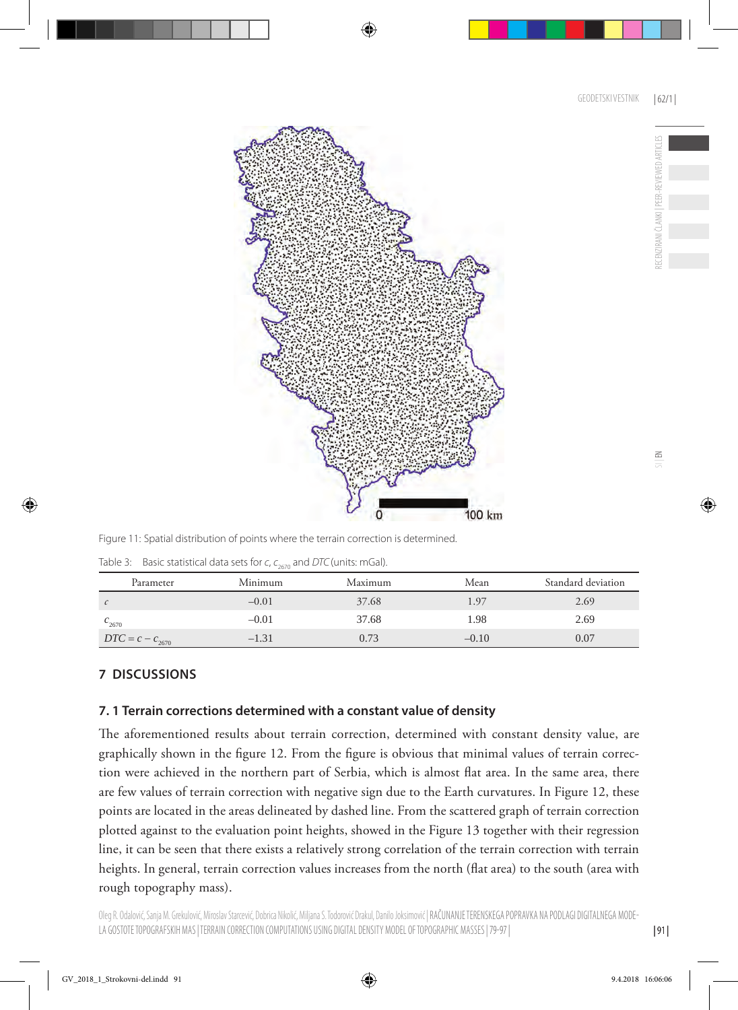

Figure 11: Spatial distribution of points where the terrain correction is determined.

| Table 3: Basic statistical data sets for $c$ , $c_{2670}$ and DTC (units: mGal). |
|----------------------------------------------------------------------------------|
|                                                                                  |

| Parameter            | Minimum | Maximum | Mean    | Standard deviation |
|----------------------|---------|---------|---------|--------------------|
|                      | $-0.01$ | 37.68   | 1.97    | 2.69               |
| $c_{2670}$           | $-0.01$ | 37.68   | 1.98    | 2.69               |
| $DTC = c - c_{2670}$ | $-1.31$ | 0.73    | $-0.10$ | 0.07               |

# **7 DISCUSSIONS**

# **7. 1 Terrain corrections determined with a constant value of density**

The aforementioned results about terrain correction, determined with constant density value, are graphically shown in the figure 12. From the figure is obvious that minimal values of terrain correction were achieved in the northern part of Serbia, which is almost flat area. In the same area, there are few values of terrain correction with negative sign due to the Earth curvatures. In Figure 12, these points are located in the areas delineated by dashed line. From the scattered graph of terrain correction plotted against to the evaluation point heights, showed in the Figure 13 together with their regression line, it can be seen that there exists a relatively strong correlation of the terrain correction with terrain heights. In general, terrain correction values increases from the north (flat area) to the south (area with rough topography mass).

RECENZIRANI ČLANKI | PEER-REVIEWED ARTICLES

CENZIRANI ČI ANKI I PEFR-REVIEWED ARTICI

| 91 |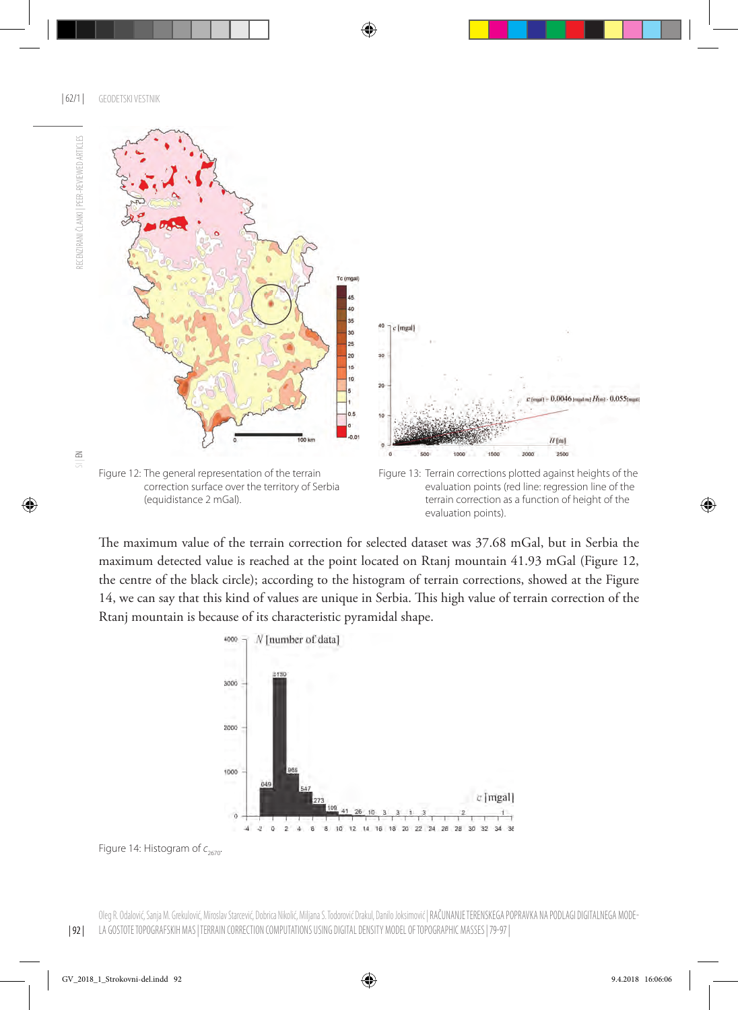

The maximum value of the terrain correction for selected dataset was 37.68 mGal, but in Serbia the maximum detected value is reached at the point located on Rtanj mountain 41.93 mGal (Figure 12, the centre of the black circle); according to the histogram of terrain corrections, showed at the Figure 14, we can say that this kind of values are unique in Serbia. This high value of terrain correction of the Rtanj mountain is because of its characteristic pyramidal shape.



Figure 14: Histogram of  $c_{2670}$ .

 $\leq$ 

RECENZIRANI ČLANKI I PEER-REVIEWED ARTICLES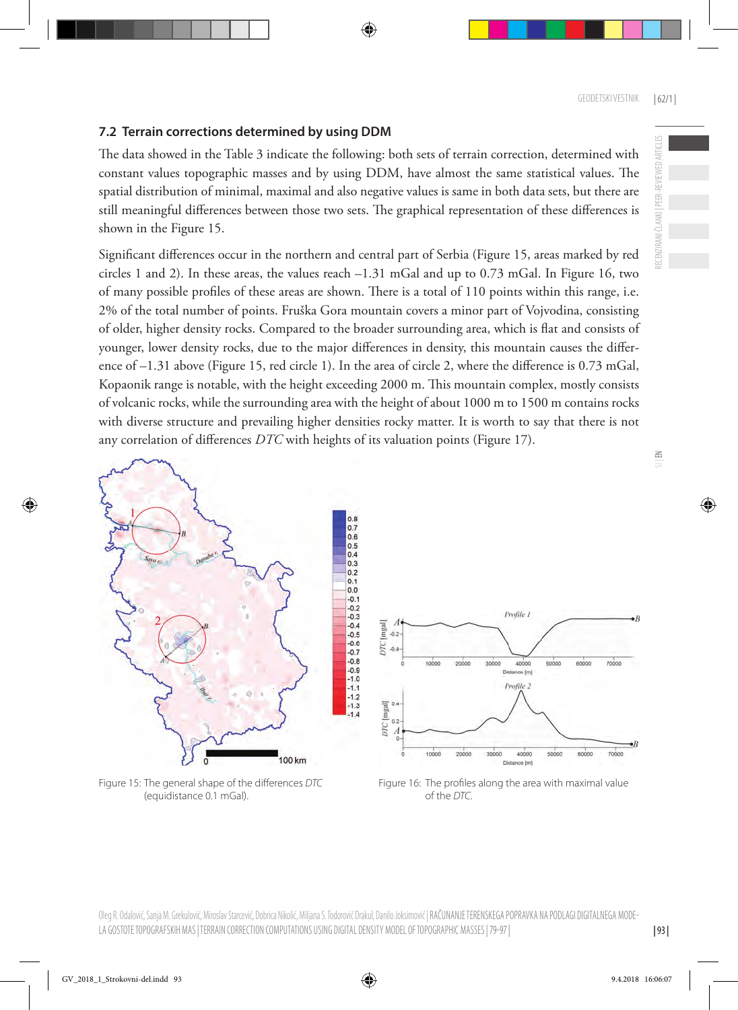RECENZIRANI ČLANKI | PEER-REVIEWED ARTICLES

ECENZIRANI ČLANKI | PEER-REVIEWED ARTICLES

 $\leq$ 

# **7.2 Terrain corrections determined by using DDM**

The data showed in the Table 3 indicate the following: both sets of terrain correction, determined with constant values topographic masses and by using DDM, have almost the same statistical values. The spatial distribution of minimal, maximal and also negative values is same in both data sets, but there are still meaningful differences between those two sets. The graphical representation of these differences is shown in the Figure 15.

Significant differences occur in the northern and central part of Serbia (Figure 15, areas marked by red circles 1 and 2). In these areas, the values reach –1.31 mGal and up to 0.73 mGal. In Figure 16, two of many possible profiles of these areas are shown. There is a total of 110 points within this range, i.e. 2% of the total number of points. Fruška Gora mountain covers a minor part of Vojvodina, consisting of older, higher density rocks. Compared to the broader surrounding area, which is flat and consists of younger, lower density rocks, due to the major differences in density, this mountain causes the difference of –1.31 above (Figure 15, red circle 1). In the area of circle 2, where the difference is 0.73 mGal, Kopaonik range is notable, with the height exceeding 2000 m. This mountain complex, mostly consists of volcanic rocks, while the surrounding area with the height of about 1000 m to 1500 m contains rocks with diverse structure and prevailing higher densities rocky matter. It is worth to say that there is not any correlation of differences *DTC* with heights of its valuation points (Figure 17).



(equidistance 0.1 mGal). of the *DTC*.



Figure 15: The general shape of the differences *DTC* Figure 16: The profiles along the area with maximal value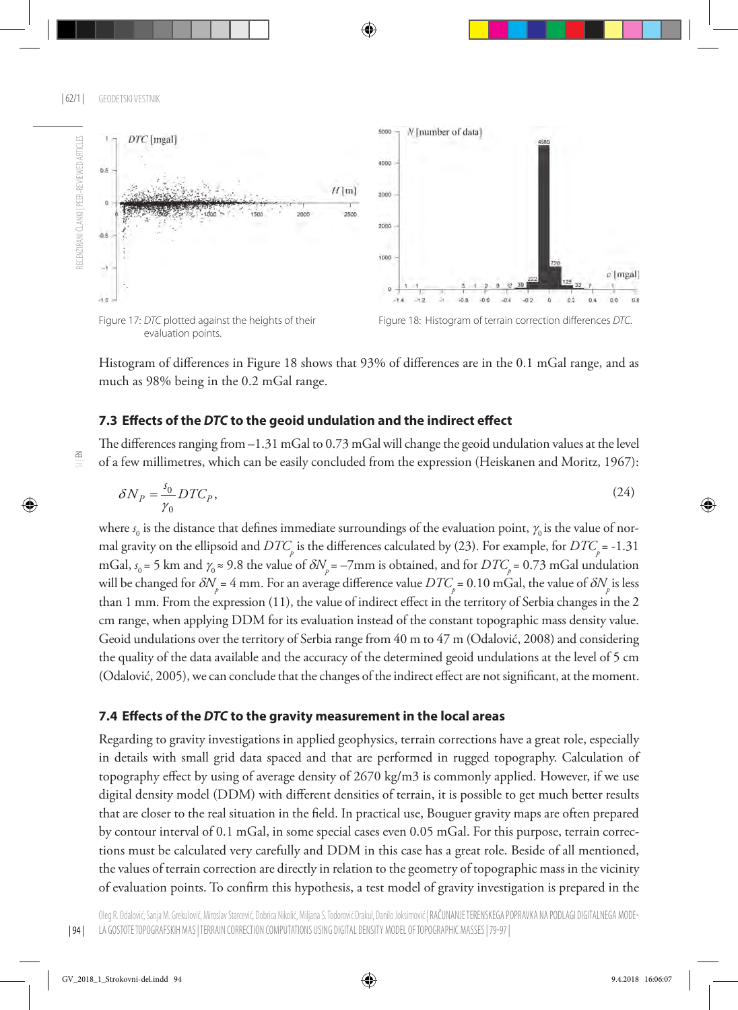



evaluation points.

Figure 17: *DTC* plotted against the heights of their Figure 18: Histogram of terrain correction differences *DTC*.

Histogram of differences in Figure 18 shows that 93% of differences are in the 0.1 mGal range, and as much as 98% being in the 0.2 mGal range.

## **7.3 Effects of the** *DTC* **to the geoid undulation and the indirect effect**

The differences ranging from –1.31 mGal to 0.73 mGal will change the geoid undulation values at the level of a few millimetres, which can be easily concluded from the expression (Heiskanen and Moritz, 1967):

$$
\delta N_P = \frac{s_0}{\gamma_0} DTC_P,\tag{24}
$$

where  $s_{_0}$  is the distance that defines immediate surroundings of the evaluation point,  $\gamma_{_0}$  is the value of normal gravity on the ellipsoid and  $DTC_p$  is the differences calculated by (23). For example, for  $DTC_p$  = -1.31 mGal,  $s_0$  = 5 km and  $\gamma_0 \approx$  9.8 the value of  $\delta N_{p}$  = –7mm is obtained, and for  $DTC_{p}$  = 0.73 mGal undulation will be changed for  $\delta N$ <sub>n</sub> = 4 mm. For an average difference value  $DTC$ <sub>n</sub> = 0.10 mGal, the value of  $\delta N$ <sub>n</sub> is less than 1 mm. From the expression (11), the value of indirect effect in the territory of Serbia changes in the 2 cm range, when applying DDM for its evaluation instead of the constant topographic mass density value. Geoid undulations over the territory of Serbia range from 40 m to 47 m (Odalović, 2008) and considering the quality of the data available and the accuracy of the determined geoid undulations at the level of 5 cm (Odalović, 2005), we can conclude that the changes of the indirect effect are not significant, at the moment.

#### **7.4 Effects of the** *DTC* **to the gravity measurement in the local areas**

Regarding to gravity investigations in applied geophysics, terrain corrections have a great role, especially in details with small grid data spaced and that are performed in rugged topography. Calculation of topography effect by using of average density of 2670 kg/m3 is commonly applied. However, if we use digital density model (DDM) with different densities of terrain, it is possible to get much better results that are closer to the real situation in the field. In practical use, Bouguer gravity maps are often prepared by contour interval of 0.1 mGal, in some special cases even 0.05 mGal. For this purpose, terrain corrections must be calculated very carefully and DDM in this case has a great role. Beside of all mentioned, the values of terrain correction are directly in relation to the geometry of topographic mass in the vicinity of evaluation points. To confirm this hypothesis, a test model of gravity investigation is prepared in the

 $\Xi$ 

| 94 |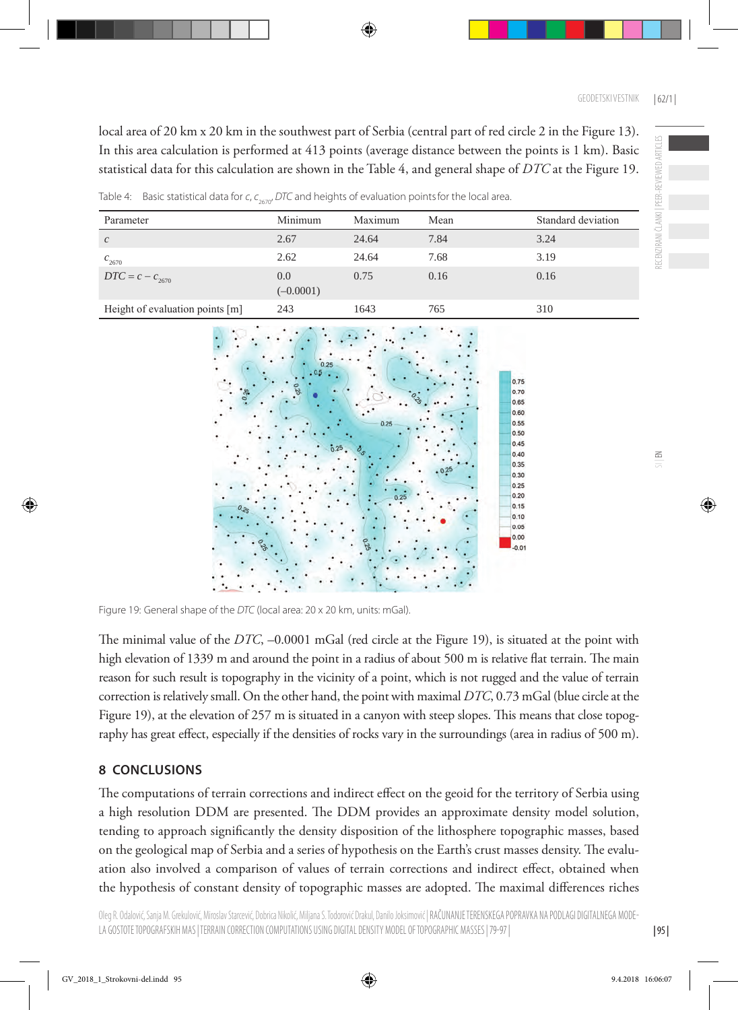local area of 20 km x 20 km in the southwest part of Serbia (central part of red circle 2 in the Figure 13). In this area calculation is performed at 413 points (average distance between the points is 1 km). Basic statistical data for this calculation are shown in the Table 4, and general shape of *DTC* at the Figure 19.

Table 4: Basic statistical data for *c*, *c*<sub>2670</sub>, DTC and heights of evaluation points for the local area.

| Parameter                       | Minimum            | Maximum | Mean | Standard deviation |
|---------------------------------|--------------------|---------|------|--------------------|
| $\mathcal{C}$                   | 2.67               | 24.64   | 7.84 | 3.24               |
| $c_{2670}$                      | 2.62               | 24.64   | 7.68 | 3.19               |
| $DTC = c - c_{2670}$            | 0.0<br>$(-0.0001)$ | 0.75    | 0.16 | 0.16               |
| Height of evaluation points [m] | 243                | 1643    | 765  | 310                |



Figure 19: General shape of the *DTC* (local area: 20 x 20 km, units: mGal).

The minimal value of the *DTC*, –0.0001 mGal (red circle at the Figure 19), is situated at the point with high elevation of 1339 m and around the point in a radius of about 500 m is relative flat terrain. The main reason for such result is topography in the vicinity of a point, which is not rugged and the value of terrain correction is relatively small. On the other hand, the point with maximal *DTC*, 0.73 mGal (blue circle at the Figure 19), at the elevation of 257 m is situated in a canyon with steep slopes. This means that close topography has great effect, especially if the densities of rocks vary in the surroundings (area in radius of 500 m).

# **8 Conclusions**

The computations of terrain corrections and indirect effect on the geoid for the territory of Serbia using a high resolution DDM are presented. The DDM provides an approximate density model solution, tending to approach significantly the density disposition of the lithosphere topographic masses, based on the geological map of Serbia and a series of hypothesis on the Earth's crust masses density. The evaluation also involved a comparison of values of terrain corrections and indirect effect, obtained when the hypothesis of constant density of topographic masses are adopted. The maximal differences riches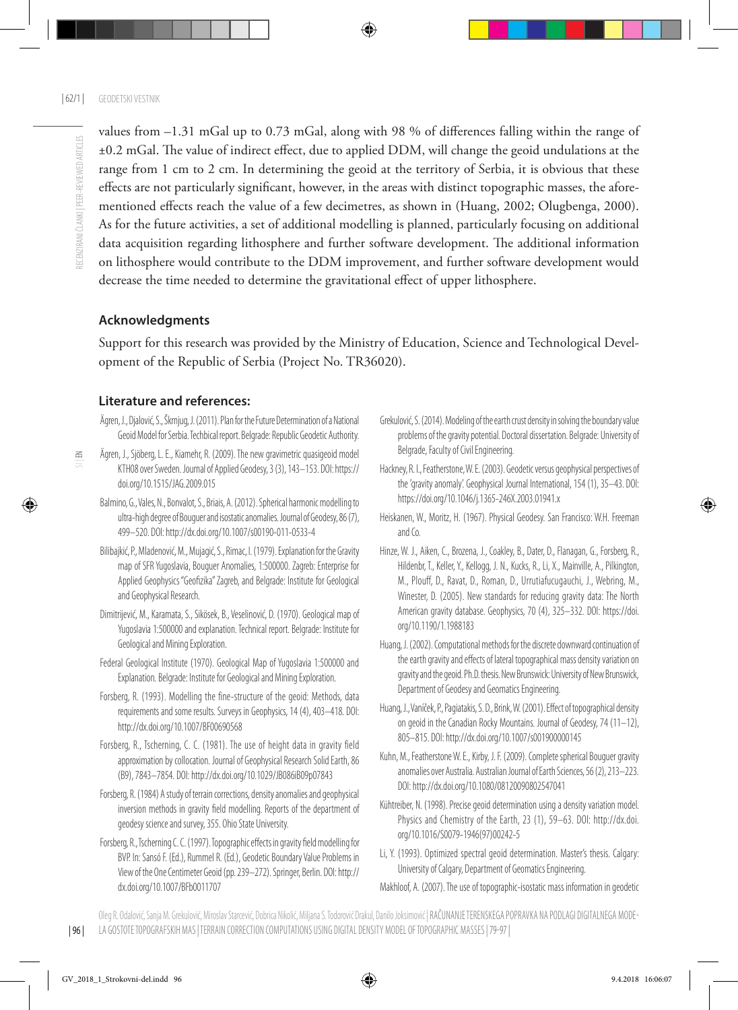$\leq$ 

values from –1.31 mGal up to 0.73 mGal, along with 98 % of differences falling within the range of ±0.2 mGal. The value of indirect effect, due to applied DDM, will change the geoid undulations at the range from 1 cm to 2 cm. In determining the geoid at the territory of Serbia, it is obvious that these effects are not particularly significant, however, in the areas with distinct topographic masses, the aforementioned effects reach the value of a few decimetres, as shown in (Huang, 2002; Olugbenga, 2000). As for the future activities, a set of additional modelling is planned, particularly focusing on additional data acquisition regarding lithosphere and further software development. The additional information on lithosphere would contribute to the DDM improvement, and further software development would decrease the time needed to determine the gravitational effect of upper lithosphere.

## **Acknowledgments**

Support for this research was provided by the Ministry of Education, Science and Technological Development of the Republic of Serbia (Project No. TR36020).

# **Literature and references:**

- Ägren, J., Djalović, S., Škrnjug, J. (2011). Plan for the Future Determination of a National Geoid Model for Serbia. Techbical report. Belgrade: Republic Geodetic Authority.
- Ägren, J., Sjöberg, L. E., Kiamehr, R. (2009). The new gravimetric quasigeoid model KTH08 over Sweden. Journal of Applied Geodesy, 3 (3), 143–153. DOI: [https://](https://doi.org/10.1515/JAG.2009.015) [doi.org/10.1515/JAG.2009.015](https://doi.org/10.1515/JAG.2009.015)
- Balmino, G., Vales, N., Bonvalot, S., Briais, A. (2012). Spherical harmonic modelling to ultra-high degree of Bouguer and isostatic anomalies. Journal of Geodesy, 86 (7), 499–520. DOI:<http://dx.doi.org/10.1007/s00190-011-0533-4>
- Bilibajkić, P., Mladenović, M., Mujagić, S., Rimac, I. (1979). Explanation for the Gravity map of SFR Yugoslavia, Bouguer Anomalies, 1:500000. Zagreb: Enterprise for Applied Geophysics "Geofizika" Zagreb, and Belgrade: Institute for Geological and Geophysical Research.
- Dimitrijević, M., Karamata, S., Sikösek, B., Veselinović, D. (1970). Geological map of Yugoslavia 1:500000 and explanation. Technical report. Belgrade: Institute for Geological and Mining Exploration.
- Federal Geological Institute (1970). Geological Map of Yugoslavia 1:500000 and Explanation. Belgrade: Institute for Geological and Mining Exploration.
- Forsberg, R. (1993). Modelling the fine-structure of the geoid: Methods, data requirements and some results. Surveys in Geophysics, 14 (4), 403–418. DOI: <http://dx.doi.org/10.1007/BF00690568>
- Forsberg, R., Tscherning, C. C. (1981). The use of height data in gravity field approximation by collocation. Journal of Geophysical Research Solid Earth, 86 (B9), 7843–7854. DOI: <http://dx.doi.org/10.1029/JB086iB09p07843>
- Forsberg, R. (1984) A study of terrain corrections, density anomalies and geophysical inversion methods in gravity field modelling. Reports of the department of geodesy science and survey, 355. Ohio State University.
- Forsberg, R., Tscherning C. C. (1997). Topographic effects in gravity field modelling for BVP. In: Sansó F. (Ed.), Rummel R. (Ed.), Geodetic Boundary Value Problems in View of the One Centimeter Geoid (pp. 239–272). Springer, Berlin. DOI: [http://](http://dx.doi.org/10.1007/BFb0011707) [dx.doi.org/10.1007/BFb0011707](http://dx.doi.org/10.1007/BFb0011707)
- Grekulović, S. (2014). Modeling of the earth crust density in solving the boundary value problems of the gravity potential. Doctoral dissertation. Belgrade: University of Belgrade, Faculty of Civil Engineering.
- Hackney, R. I., Featherstone, W. E. (2003). Geodetic versus geophysical perspectives of the 'gravity anomaly'. Geophysical Journal International, 154 (1), 35–43. DOI: https://doi.org/10.1046/j.1365-246X.2003.01941.x
- Heiskanen, W., Moritz, H. (1967). Physical Geodesy. San Francisco: W.H. Freeman and Co.
- Hinze, W. J., Aiken, C., Brozena, J., Coakley, B., Dater, D., Flanagan, G., Forsberg, R., Hildenbr, T., Keller, Y., Kellogg, J. N., Kucks, R., Li, X., Mainville, A., Pilkington, M., Plouff, D., Ravat, D., Roman, D., Urrutiafucugauchi, J., Webring, M., Winester, D. (2005). New standards for reducing gravity data: The North American gravity database. Geophysics, 70 (4), 325–332. DOI: https://doi. org/10.1190/1.1988183
- Huang, J. (2002). Computational methods for the discrete downward continuation of the earth gravity and effects of lateral topographical mass density variation on gravity and the geoid. Ph.D. thesis. New Brunswick: University of New Brunswick, Department of Geodesy and Geomatics Engineering.
- Huang, J., Vaníček, P., Pagiatakis, S. D., Brink, W. (2001). Effect of topographical density on geoid in the Canadian Rocky Mountains. Journal of Geodesy, 74 (11–12), 805–815. DOI:<http://dx.doi.org/10.1007/s001900000145>
- Kuhn, M., Featherstone W. E., Kirby, J. F. (2009). Complete spherical Bouguer gravity anomalies over Australia. Australian Journal of Earth Sciences, 56 (2), 213–223. DOI:<http://dx.doi.org/10.1080/08120090802547041>
- Kühtreiber, N. (1998). Precise geoid determination using a density variation model. Physics and Chemistry of the Earth, 23 (1), 59–63. DOI: [http://dx.doi.](http://dx.doi.org/10.1016/S0079-1946(97)00242-5) [org/10.1016/S0079-1946\(97\)00242-5](http://dx.doi.org/10.1016/S0079-1946(97)00242-5)
- Li, Y. (1993). Optimized spectral geoid determination. Master's thesis. Calgary: University of Calgary, Department of Geomatics Engineering.

Makhloof, A. (2007). The use of topographic-isostatic mass information in geodetic